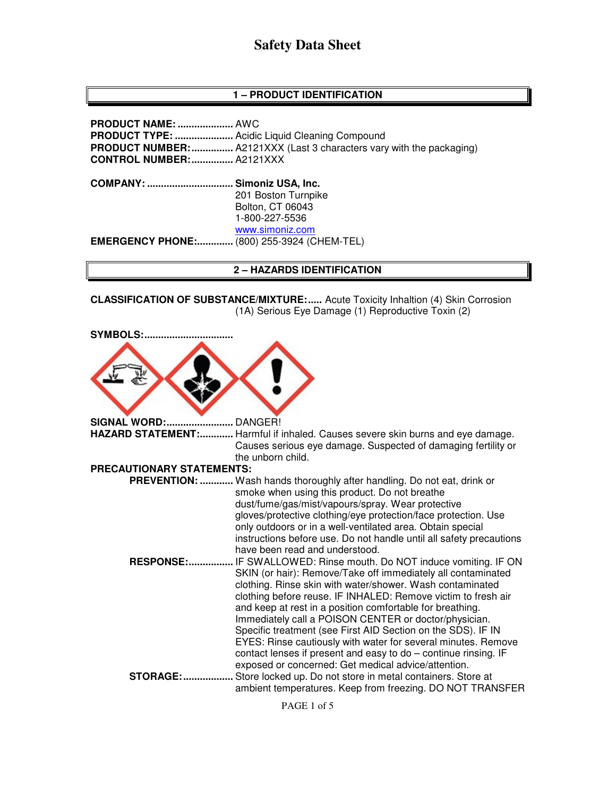## **1 – PRODUCT IDENTIFICATION**

**PRODUCT NAME: ....................** AWC **PRODUCT TYPE: .....................** Acidic Liquid Cleaning Compound **PRODUCT NUMBER:** ................. A2121XXX (Last 3 characters vary with the packaging) **CONTROL NUMBER: ...............** A2121XXX **COMPANY: ............................... Simoniz USA, Inc.** 201 Boston Turnpike Bolton, CT 06043 1-800-227-5536 www.simoniz.com **EMERGENCY PHONE:.............** (800) 255-3924 (CHEM-TEL)

#### **2 – HAZARDS IDENTIFICATION**

**CLASSIFICATION OF SUBSTANCE/MIXTURE:.....** Acute Toxicity Inhaltion (4) Skin Corrosion (1A) Serious Eye Damage (1) Reproductive Toxin (2)

| <b>SYMBOLS:</b>           |                                                                                                                                                                                                                                                                                                                                                                                                                                                                                                                                                                                                                                                                                                                                                                                                                                                                                                                                 |
|---------------------------|---------------------------------------------------------------------------------------------------------------------------------------------------------------------------------------------------------------------------------------------------------------------------------------------------------------------------------------------------------------------------------------------------------------------------------------------------------------------------------------------------------------------------------------------------------------------------------------------------------------------------------------------------------------------------------------------------------------------------------------------------------------------------------------------------------------------------------------------------------------------------------------------------------------------------------|
| <b>SIGNAL WORD:</b>       | DANGER!                                                                                                                                                                                                                                                                                                                                                                                                                                                                                                                                                                                                                                                                                                                                                                                                                                                                                                                         |
| HAZARD STATEMENT:         | Harmful if inhaled. Causes severe skin burns and eye damage.<br>Causes serious eye damage. Suspected of damaging fertility or<br>the unborn child.                                                                                                                                                                                                                                                                                                                                                                                                                                                                                                                                                                                                                                                                                                                                                                              |
| PRECAUTIONARY STATEMENTS: |                                                                                                                                                                                                                                                                                                                                                                                                                                                                                                                                                                                                                                                                                                                                                                                                                                                                                                                                 |
|                           | PREVENTION:  Wash hands thoroughly after handling. Do not eat, drink or                                                                                                                                                                                                                                                                                                                                                                                                                                                                                                                                                                                                                                                                                                                                                                                                                                                         |
| <b>RESPONSE:</b>          | smoke when using this product. Do not breathe<br>dust/fume/gas/mist/vapours/spray. Wear protective<br>gloves/protective clothing/eye protection/face protection. Use<br>only outdoors or in a well-ventilated area. Obtain special<br>instructions before use. Do not handle until all safety precautions<br>have been read and understood.<br>IF SWALLOWED: Rinse mouth. Do NOT induce vomiting. IF ON<br>SKIN (or hair): Remove/Take off immediately all contaminated<br>clothing. Rinse skin with water/shower. Wash contaminated<br>clothing before reuse. IF INHALED: Remove victim to fresh air<br>and keep at rest in a position comfortable for breathing.<br>Immediately call a POISON CENTER or doctor/physician.<br>Specific treatment (see First AID Section on the SDS). IF IN<br>EYES: Rinse cautiously with water for several minutes. Remove<br>contact lenses if present and easy to do - continue rinsing. IF |
| <b>STORAGE:.</b>          | exposed or concerned: Get medical advice/attention.<br>Store locked up. Do not store in metal containers. Store at<br>ambient temperatures. Keep from freezing. DO NOT TRANSFER                                                                                                                                                                                                                                                                                                                                                                                                                                                                                                                                                                                                                                                                                                                                                 |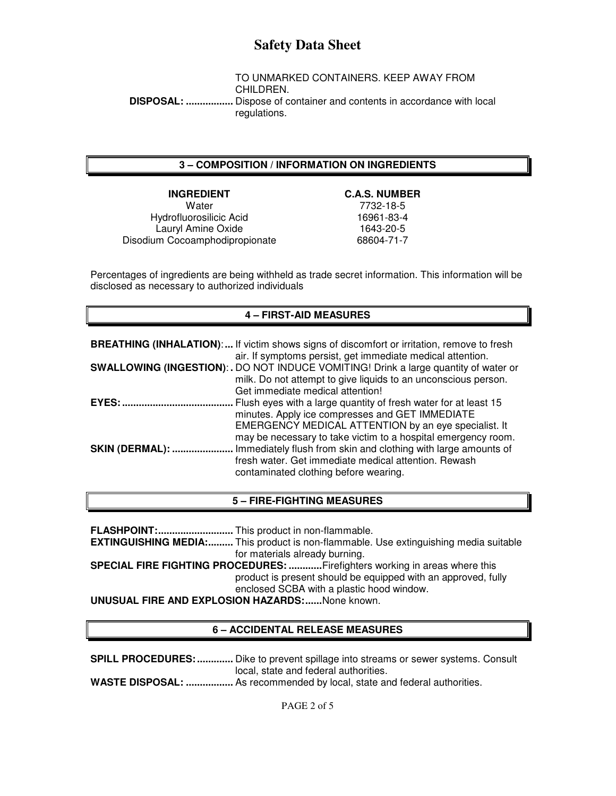TO UNMARKED CONTAINERS. KEEP AWAY FROM CHILDREN.  **DISPOSAL: .................** Dispose of container and contents in accordance with local regulations.

## **3 – COMPOSITION / INFORMATION ON INGREDIENTS**

**INGREDIENT** C.A.S. NUMBER<br>Water 7732-18-5 Hydrofluorosilicic Acid 16961-83-4 Lauryl Amine Oxide<br>
um Cocoamphodipropionate<br>
1643-20-5<br>
68604-71-7 Disodium Cocoamphodipropionate

7732-18-5

Percentages of ingredients are being withheld as trade secret information. This information will be disclosed as necessary to authorized individuals

## **4 – FIRST-AID MEASURES**

|                        | <b>BREATHING (INHALATION):</b> If victim shows signs of discomfort or irritation, remove to fresh<br>air. If symptoms persist, get immediate medical attention.                                                                             |
|------------------------|---------------------------------------------------------------------------------------------------------------------------------------------------------------------------------------------------------------------------------------------|
|                        | SWALLOWING (INGESTION): . DO NOT INDUCE VOMITING! Drink a large quantity of water or<br>milk. Do not attempt to give liquids to an unconscious person.<br>Get immediate medical attention!                                                  |
| <b>EYES: </b>          | Flush eyes with a large quantity of fresh water for at least 15<br>minutes. Apply ice compresses and GET IMMEDIATE<br>EMERGENCY MEDICAL ATTENTION by an eye specialist. It<br>may be necessary to take victim to a hospital emergency room. |
| <b>SKIN (DERMAL): </b> | Immediately flush from skin and clothing with large amounts of<br>fresh water. Get immediate medical attention. Rewash<br>contaminated clothing before wearing.                                                                             |

## **5 – FIRE-FIGHTING MEASURES**

**FLASHPOINT: ...........................** This product in non-flammable. **EXTINGUISHING MEDIA:.........** This product is non-flammable. Use extinguishing media suitable for materials already burning. **SPECIAL FIRE FIGHTING PROCEDURES: ............** Firefighters working in areas where this product is present should be equipped with an approved, fully enclosed SCBA with a plastic hood window. **UNUSUAL FIRE AND EXPLOSION HAZARDS: ......** None known.

## **6 – ACCIDENTAL RELEASE MEASURES**

**SPILL PROCEDURES: .............** Dike to prevent spillage into streams or sewer systems. Consult local, state and federal authorities. **WASTE DISPOSAL: .................** As recommended by local, state and federal authorities.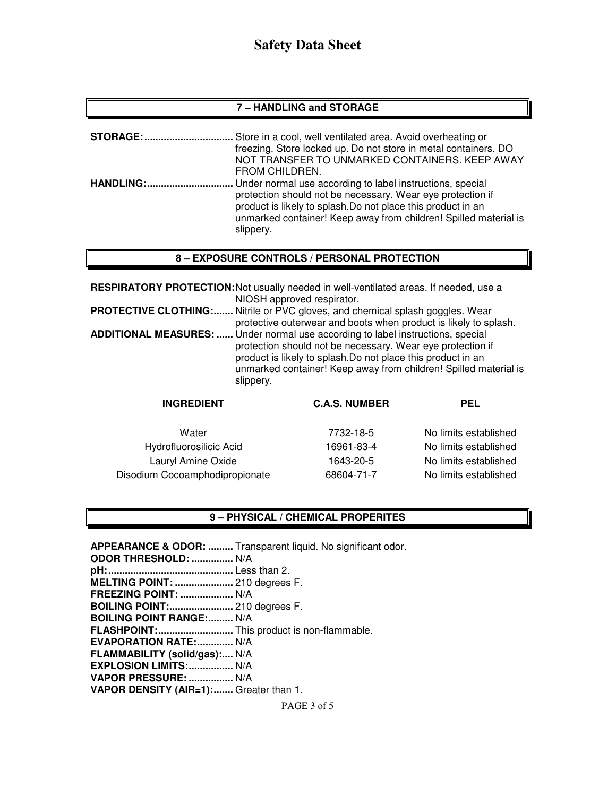## **7 – HANDLING and STORAGE**

| <b>STORAGE:</b>   | Store in a cool, well ventilated area. Avoid overheating or                                                                                                                                                                                                              |
|-------------------|--------------------------------------------------------------------------------------------------------------------------------------------------------------------------------------------------------------------------------------------------------------------------|
|                   | freezing. Store locked up. Do not store in metal containers. DO<br>NOT TRANSFER TO UNMARKED CONTAINERS. KEEP AWAY<br>FROM CHILDREN.                                                                                                                                      |
| <b>HANDLING:.</b> | Under normal use according to label instructions, special<br>protection should not be necessary. Wear eye protection if<br>product is likely to splash. Do not place this product in an<br>unmarked container! Keep away from children! Spilled material is<br>slippery. |

### **8 – EXPOSURE CONTROLS / PERSONAL PROTECTION**

**RESPIRATORY PROTECTION:** Not usually needed in well-ventilated areas. If needed, use a NIOSH approved respirator. **PROTECTIVE CLOTHING:.......** Nitrile or PVC gloves, and chemical splash goggles. Wear protective outerwear and boots when product is likely to splash. **ADDITIONAL MEASURES: ......** Under normal use according to label instructions, special protection should not be necessary. Wear eye protection if product is likely to splash.Do not place this product in an unmarked container! Keep away from children! Spilled material is slippery.

| <b>INGREDIENT</b>              | <b>C.A.S. NUMBER</b> | PEL                   |
|--------------------------------|----------------------|-----------------------|
| Water                          | 7732-18-5            | No limits established |
| Hydrofluorosilicic Acid        | 16961-83-4           | No limits established |
| Lauryl Amine Oxide             | 1643-20-5            | No limits established |
| Disodium Cocoamphodipropionate | 68604-71-7           | No limits established |
|                                |                      |                       |

## **9 – PHYSICAL / CHEMICAL PROPERITES**

**APPEARANCE & ODOR: .........** Transparent liquid. No significant odor. **ODOR THRESHOLD: ...............** N/A **pH: .............................................** Less than 2. **MELTING POINT: .....................** 210 degrees F. **FREEZING POINT: ...................** N/A **BOILING POINT:.......................** 210 degrees F. **BOILING POINT RANGE:......... N/A FLASHPOINT: ...........................** This product is non-flammable. **EVAPORATION RATE:.............. N/A FLAMMABILITY (solid/gas):....** N/A **EXPLOSION LIMITS: ................** N/A **VAPOR PRESSURE: ................** N/A **VAPOR DENSITY (AIR=1): .......** Greater than 1.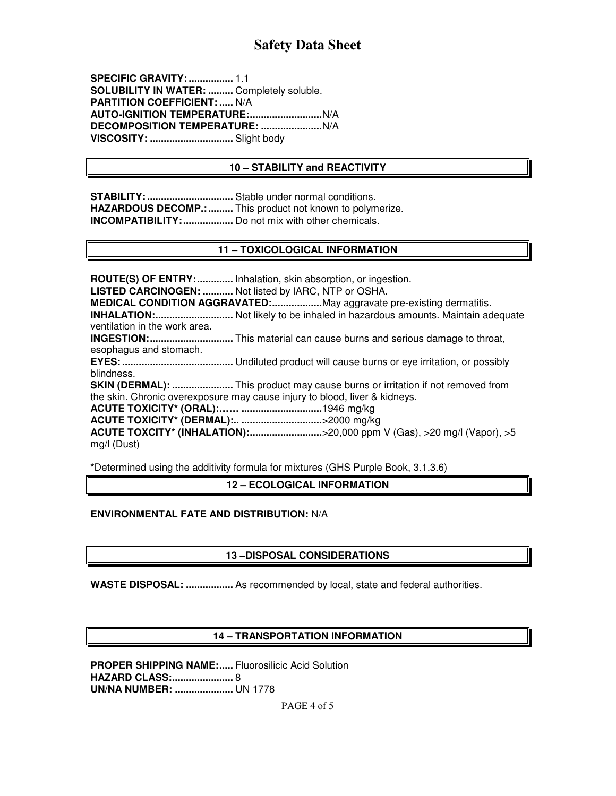**SPECIFIC GRAVITY: ................** 1.1 **SOLUBILITY IN WATER: .........** Completely soluble. **PARTITION COEFFICIENT: .....** N/A **AUTO-IGNITION TEMPERATURE: ..........................** N/A **DECOMPOSITION TEMPERATURE: ......................** N/A **VISCOSITY: ..............................** Slight body

## **10 – STABILITY and REACTIVITY**

**STABILITY: ...............................** Stable under normal conditions. **HAZARDOUS DECOMP.: .........** This product not known to polymerize. **INCOMPATIBILITY: ..................** Do not mix with other chemicals.

### **11 – TOXICOLOGICAL INFORMATION**

**ROUTE(S) OF ENTRY: .............** Inhalation, skin absorption, or ingestion. **LISTED CARCINOGEN: ...........** Not listed by IARC, NTP or OSHA. **MEDICAL CONDITION AGGRAVATED: ..................** May aggravate pre-existing dermatitis. **INHALATION: ............................** Not likely to be inhaled in hazardous amounts. Maintain adequate ventilation in the work area. **INGESTION: ..............................** This material can cause burns and serious damage to throat, esophagus and stomach. **EYES: ........................................** Undiluted product will cause burns or eye irritation, or possibly blindness. **SKIN (DERMAL): ......................** This product may cause burns or irritation if not removed from the skin. Chronic overexposure may cause injury to blood, liver & kidneys. **ACUTE TOXICITY\* (ORAL):…… .............................** 1946 mg/kg **ACUTE TOXICITY\* (DERMAL):.. .............................** >2000 mg/kg **ACUTE TOXCITY\* (INHALATION): ..........................** >20,000 ppm V (Gas), >20 mg/l (Vapor), >5 mg/l (Dust)

**\***Determined using the additivity formula for mixtures (GHS Purple Book, 3.1.3.6)

#### **12 – ECOLOGICAL INFORMATION**

## **ENVIRONMENTAL FATE AND DISTRIBUTION:** N/A

## **13 –DISPOSAL CONSIDERATIONS**

**WASTE DISPOSAL: .................** As recommended by local, state and federal authorities.

## **14 – TRANSPORTATION INFORMATION**

**PROPER SHIPPING NAME:..... Fluorosilicic Acid Solution HAZARD CLASS: ......................** 8 **UN/NA NUMBER: .....................** UN 1778

PAGE 4 of 5